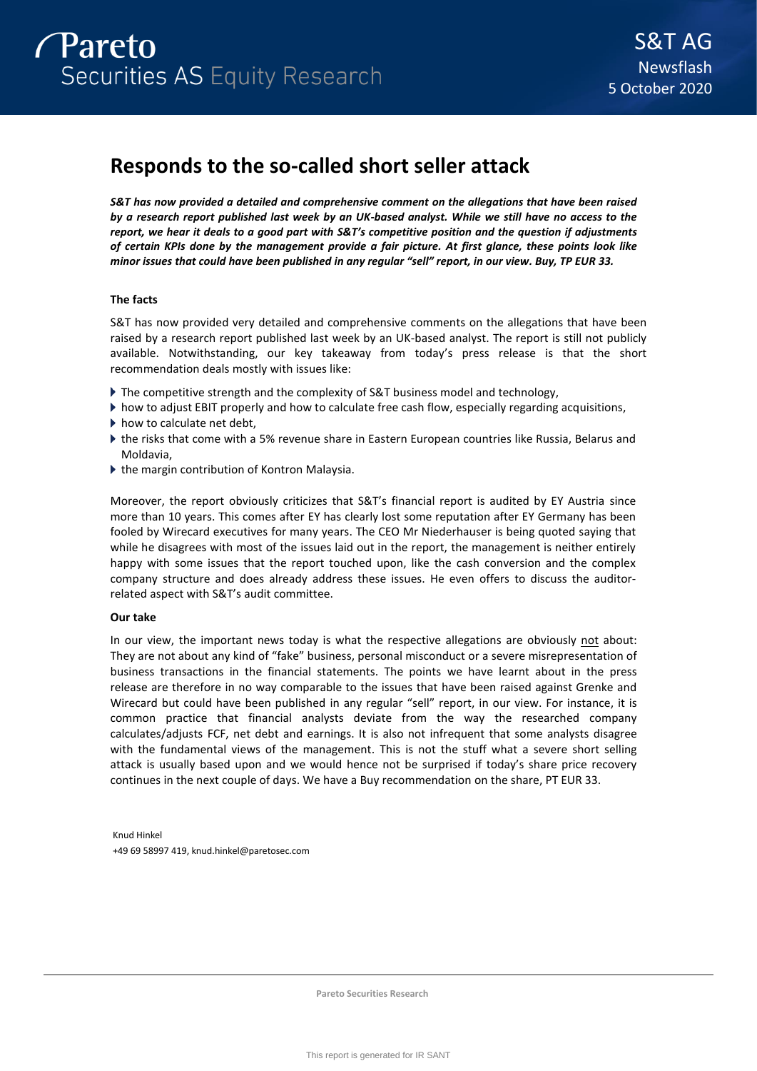# **Responds to the so-called short seller attack**

*S&T has now provided a detailed and comprehensive comment on the allegations that have been raised by a research report published last week by an UK-based analyst. While we still have no access to the report, we hear it deals to a good part with S&T's competitive position and the question if adjustments of certain KPIs done by the management provide a fair picture. At first glance, these points look like minor issues that could have been published in any regular "sell" report, in our view. Buy, TP EUR 33.* 

# **The facts**

S&T has now provided very detailed and comprehensive comments on the allegations that have been raised by a research report published last week by an UK-based analyst. The report is still not publicly available. Notwithstanding, our key takeaway from today's press release is that the short recommendation deals mostly with issues like:

- ▶ The competitive strength and the complexity of S&T business model and technology,
- how to adjust EBIT properly and how to calculate free cash flow, especially regarding acquisitions,
- $\blacktriangleright$  how to calculate net debt,
- the risks that come with a 5% revenue share in Eastern European countries like Russia, Belarus and Moldavia,
- ▶ the margin contribution of Kontron Malaysia.

Moreover, the report obviously criticizes that S&T's financial report is audited by EY Austria since more than 10 years. This comes after EY has clearly lost some reputation after EY Germany has been fooled by Wirecard executives for many years. The CEO Mr Niederhauser is being quoted saying that while he disagrees with most of the issues laid out in the report, the management is neither entirely happy with some issues that the report touched upon, like the cash conversion and the complex company structure and does already address these issues. He even offers to discuss the auditorrelated aspect with S&T's audit committee.

# **Our take**

In our view, the important news today is what the respective allegations are obviously not about: They are not about any kind of "fake" business, personal misconduct or a severe misrepresentation of business transactions in the financial statements. The points we have learnt about in the press release are therefore in no way comparable to the issues that have been raised against Grenke and Wirecard but could have been published in any regular "sell" report, in our view. For instance, it is common practice that financial analysts deviate from the way the researched company calculates/adjusts FCF, net debt and earnings. It is also not infrequent that some analysts disagree with the fundamental views of the management. This is not the stuff what a severe short selling attack is usually based upon and we would hence not be surprised if today's share price recovery continues in the next couple of days. We have a Buy recommendation on the share, PT EUR 33.

Knud Hinkel +49 69 58997 419, knud.hinkel@paretosec.com

**Pareto Securities Research**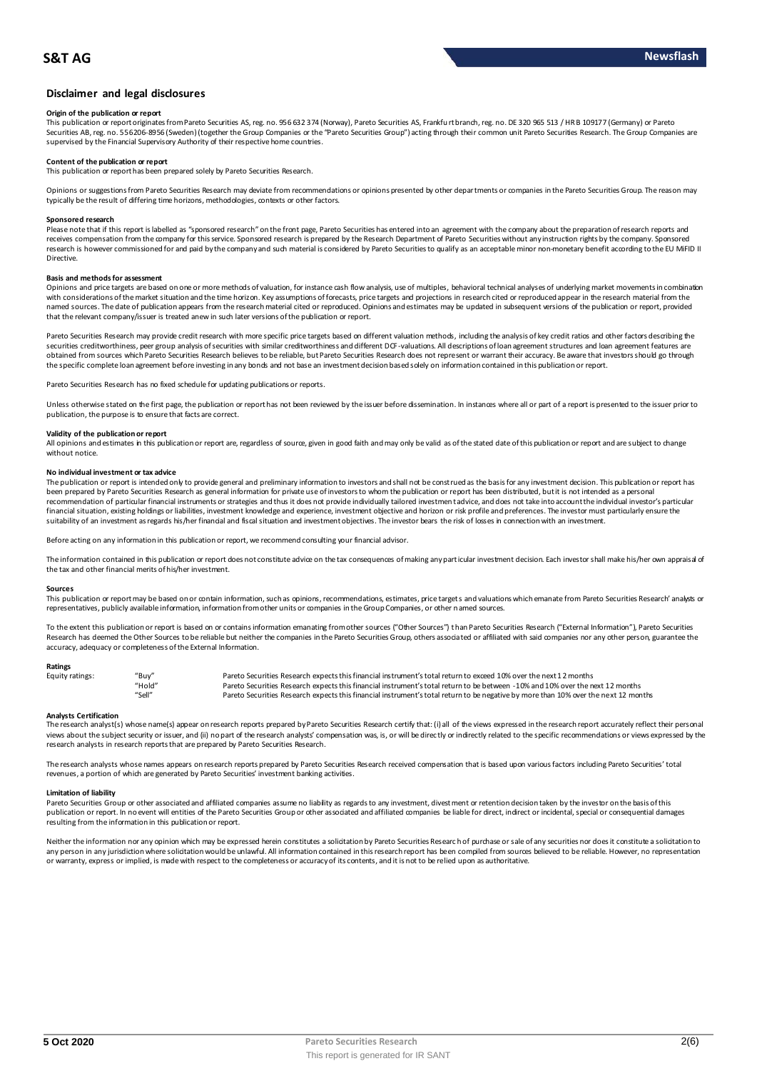# **Disclaimer and legal disclosures**

#### **Origin of the publication or report**

This publication or report originates from Pareto Securities AS, reg. no. 956 632 374 (Norway), Pareto Securities AS, Frankfu rt branch, reg. no. DE 320 965 513 / HR B 109177 (Germany) or Pareto Securities AB, reg. no. 556206-8956 (Sweden) (together the Group Companies or the "Pareto Securities Group") acting through their common unit Pareto Securities Research. The Group Companies are supervised by the Financial Supervisory Authority of their respective home countries.

#### **Content of the publication or report**

This publication or report has been prepared solely by Pareto Securities Research.

Opinions or suggestions from Pareto Securities Research may deviate from recommendations or opinions presented by other departments or companies in the Pareto Securities Group. The reason may typically be the result of differing time horizons, methodologies, contexts or other factors.

#### **Sponsored research**

Please note that if this report is labelled as "sponsored research" on the front page, Pareto Securities has entered into an agreement with the company about the preparation of research reports and<br>receives compensation fr research is however commissioned for and paid by the company and such material is considered by Pareto Securities to qualify as an acceptable minor non-monetary benefit according to the EU MiFID II Directive.

## **Basis and methods for assessment**

Opinions and price targets are based on one or more methods of valuation, for instance cash flow analysis, use of multiples, behavioral technical analyses of underlying market movements in combination with considerations of the market situation and the time horizon. Key assumptions of forecasts, price targets and projections in research cited or reproduced appear in the research material from the named sources. The date of publication appears from the research material cited or reproduced. Opinions and estimates may be updated in subsequent versions of the publication or report, provided that the relevant company/issuer is treated anew in such later versions of the publication or report.

Pareto Securities Research may provide credit research with more specific price targets based on different valuation methods, including the analysis of key credit ratios and other factors describing the securities creditworthiness, peer group analysis of securities with similar creditworthiness and different DCF-valuations. All descriptions of loan agreement structures and loan agreement features are obtained from sources which Pareto Securities Research believes to be reliable, but Pareto Securities Research does not represent or warrant their accuracy. Be aware that investors should go through the specific complete loan agreement before investing in any bonds and not base an investment decision based solely on information contained in this publication or report.

Pareto Securities Research has no fixed schedule for updating publications or reports.

Unless otherwise stated on the first page, the publication or report has not been reviewed by the issuer before dissemination. In instances where all or part of a report is presented to the issuer prior to publication, the purpose is to ensure that facts are correct.

#### **Validity of the publication or report**

All opinions and estimates in this publication or report are, regardless of source, given in good faith and may only be valid as of the stated date of this publication or report and are subject to change without notice.

#### **No individual investment or tax advice**

The publication or report is intended only to provide general and preliminary information to investors and shall not be construed as the basis for any investment decision. This publication or report has been prepared by Pareto Securities Research as general information for private use of investors to whom the publication or report has been distributed, but it is not intended as a personal recommendation of particular financial instruments or strategies and thus it does not provide individually tailored investment advice, and does not take into account the individual investor's particular<br>financial situation suitability of an investment as regards his/her financial and fiscal situation and investment objectives. The investor bears the risk of losses in connection with an investment.

Before acting on any information in this publication or report, we recommend consulting your financial advisor.

The information contained in this publication or report does not constitute advice on the tax consequences of making any particular investment decision. Each investor shall make his/her own appraisal of the tax and other financial merits of his/her investment.

#### **Sources**

This publication or report may be based on or contain information, such as opinions, recommendations, estimates, price targets and valuations which emanate from Pareto Securities Research' analysts or representatives, publicly available information, information from other units or companies in the Group Companies, or other named sources.

To the extent this publication or report is based on or contains information emanating from other sources ("Other Sources") than Pareto Securities Research ("External Information"), Pareto Securities Research has deemed the Other Sources to be reliable but neither the companies in the Pareto Securities Group, others associated or affiliated with said companies nor any other person, guarantee the accuracy, adequacy or completeness of the External Information.

#### **Ratings**

| "Buy"  | Pareto Securities Research expects this financial instrument's total return to exceed 10% over the next 12 months                   |
|--------|-------------------------------------------------------------------------------------------------------------------------------------|
| "Hold" | Pareto Securities Research expects this financial instrument's total return to be between -10% and 10% over the next 12 months      |
| "Sell" | Pareto Securities Research expects this financial instrument's total return to be negative by more than 10% over the next 12 months |
|        |                                                                                                                                     |

Analysts Certification<br>The research analyst(s) whose name(s) appear on research reports prepared by Pareto Securities Research certify that: (i) all of the views expressed in the research report accurately reflect their pe "Hold"<br>Pareto Securities Research expects this financial instrument's total return to be between -10% and 10% over the next 12 months<br>Analysts Certification<br>The research analyst(s) whose name(s) appear on research reports research analysts in research reports that are prepared by Pareto Securities Research.

The research analysts whose names appears on research reports prepared by Pareto Securities Research received compensation that is based upon various factors including Pareto Securities' total revenues, a portion of which are generated by Pareto Securities' investment banking activities.

#### **Limitation of liability**

Pareto Securities Group or other associated and affiliated companies assume no liability as regards to any investment, divestment or retention decision taken by the investor on the basis of this publication or report. In no event will entities of the Pareto Securities Group or other associated and affiliated companies be liable for direct, indirect or incidental, special or consequential damages resulting from the information in this publication or report.

Neither the information nor any opinion which may be expressed herein constitutes a solicitation by Pareto Securities Research of purchase or sale of any securities nor does it constitute a solicitation to any person in any jurisdiction where solicitation would be unlawful. All information contained in this research report has been compiled from sources believed to be reliable. However, no representation<br>or warranty, express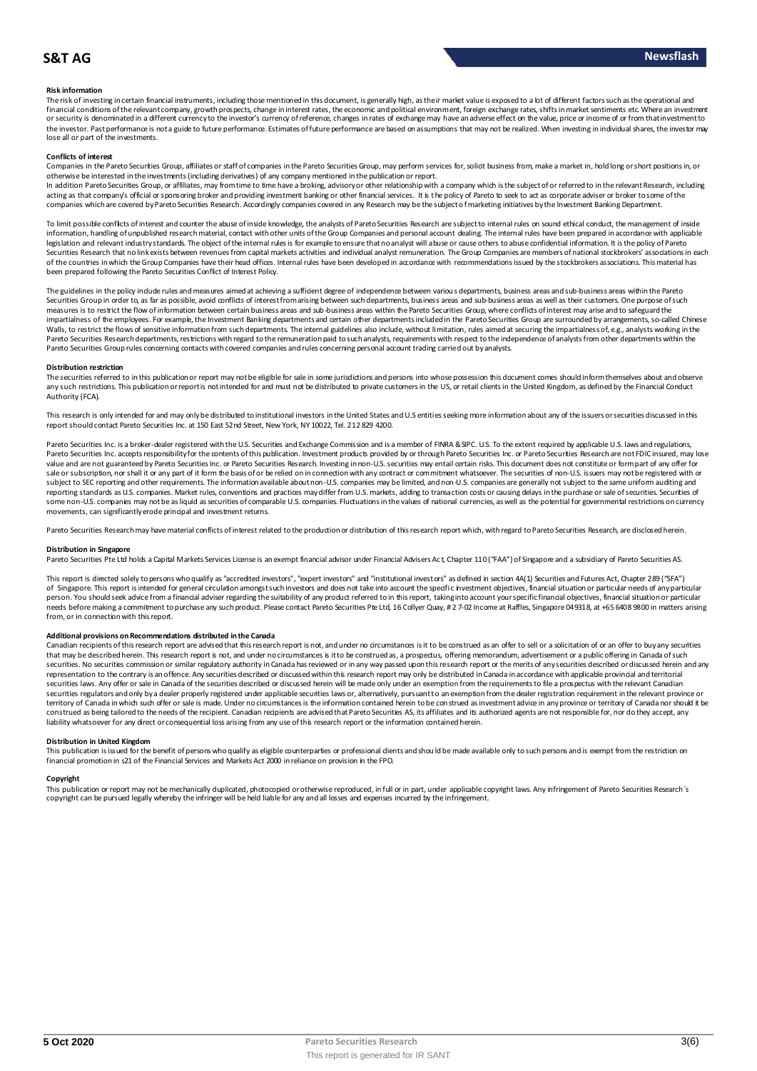### **Risk information**

The risk of investing in certain financial instruments, including those mentioned in this document, is generally high, as their market value is exposed to a bt of different factors such as the operational and financial conditions of the relevant company, growth prospects, change in interest rates, the economic and political environment, foreign exchange rates, shifts in market sentiments etc. Where an investment<br>or security is the investor. Past performance is not a guide to future performance. Estimates of future performance are based on assumptions that may not be realized. When investing in individual shares, the investor may lose all or part of the investments.

#### **Conflicts of interest**

Companies in the Pareto Securities Group, affiliates or staff of companies in the Pareto Securities Group, may perform services for, solicit business from, make a market in, hold long or short positions in, or otherwise be interested in the investments (including derivatives) of any company mentioned in the publication or report.

In addition Pareto Securities Group, or affiliates, may from time to time have a broking, advisory or other relationship with a company which is the subject of or referred to in the relevant Research, including acting as that company's official or sponsoring broker and providing investment banking or other financial services. It is the policy of Pareto to seek to act as corporate adviser or broker to some of the companies which are covered by Pareto Securities Research. Accordingly companies covered in any Research may be the subject of marketing initiatives by the Investment Banking Department.

To limit possible conflicts of interest and counter the abuse of inside knowledge, the analysts of Pareto Securities Research are subject to internal rules on sound ethical conduct, the management of inside information, handling of unpublished research material, contact with other units of the Group Companies and personal account dealing. The internal rules have been prepared in accordance with applicable legislation and relevant industry standards. The object of the internal rules is for example to ensure that no analyst will abuse or cause others to abuse confidential information. It is the policy of Pareto Securities Research that no link exists between revenues from capital markets activities and individual analyst remuneration. The Group Companies are members of national stockbrokers' associations in each of the countries in which the Group Companies have their head offices. Internal rules have been developed in accordance with recommendations issued by the stockbrokers associations. This material has been prepared following the Pareto Securities Conflict of Interest Policy.

The guidelines in the policy indude rules and measures aimed at achieving a sufficient degree of independence between various departments, business areas and sub-business areas within the Pareto<br>Securities Group in order t measures is to restrict the flow of information between certain business areas and sub-business areas within the Pareto Securities Group, where conflicts of interest may arise and to safeguard the limes interest may arise The guidelines in the policy indude rules and measures aimed at achieving a sufficient degree of independence between various departments, business areas and sub-business areas and sub-achievis Group in order to, as far as Walls, to restrict the flows of sensitive information from such departments. The internal guidelines also include, without limitation, rules aimed at securing the impartialness of, e.g., analysts working in the<br>Pareto Secu Pareto Securities Group rules concerning contacts with covered companies and rules concerning personal account trading carried out by analysts.

**Distribution restriction**<br>The securities referred to in this publication or report may not be eligible for sale in some jurisdictions and persons into whose possession this document comes should inform themselves about an Pareto Securities Group rules concerning contacts with covered companies and rules concerning personal account trading carried out by analysts.<br>Distribution restriction<br>The securities referred to in this publication or rep Authority (FCA).

This research is only intended for and may only be distributed to institutional investors in the United States and U.S entities seeking more information about any of the issuers or securities discussed in this report should contact Pareto Securities Inc. at 150 East 52nd Street, New York, NY 10022, Tel. 212 829 4200.

Pareto Securities Inc. is a broker-dealer registered with the U.S. Securities and Exchange Commission and is a member of FINRA & SIPC. U.S. To the extent required by applicable U.S. laws and regulations, Pareto Securities Inc. accepts responsibility for the contents of this publication. Investment products provided by or through Pareto Securities Inc. or Pareto Securities Research are not FDIC insured, may lose value and are not guaranteed by Pareto Securities Inc. or Pareto Securities Research. Investing in non-U.S. securities may entail certain risks. This document does not constitute or form part of any offer for sale or subscription, nor shall it or any part of it form the basis of or be relied on in connection with any contract or commitment whatsoever. The securities of non-U.S. issuers may not be registered with or<br>subject to S reporting standards as U.S. companies. Market rules, conventions and practices may differ from U.S. markets, adding to transaction costs or causing delays in the purchase or sale of securities. Securities of some non-U.S. companies may not be as liquid as securities of comparable U.S. companies. Fluctuations in the values of national currencies, as well as the potential for governmental restrictions on currency movements, can significantly erode principal and investment returns.

Pareto Securities Research may have material conflicts of interest related to the production or distribution of this research report which, with regard to Pareto Securities Research, are disclosed herein.

#### **Distribution in Singapore**

Pareto Securities Pte Ltd holds a Capital Markets Services License is an exempt financial advisor under Financial Advisers Act, Chapter 110 ("FAA") of Singapore and a subsidiary of Pareto Securities AS.

This report is directed solely to persons who qualify as "accredited investors", "expert investors" and "institutional investors" as defined in section 4A(1) Securities and Futures Act, Chapter 289 ("SFA") Distribution in Singapore<br>Pareto Securities Pte Ltd holds a Capital Markets Services License is an exempt financial advisor under Financial Advisers Act, Chapter 110 ("FAA") of Singapore and a subsidiary of Pareto Securiti needs before making a commitment to purchase any such product. Please contact Pareto Securities Pte Ltd, 16 Collyer Quay, # 2 7-02 Income at Raffles, Singapore 049318, at +65 6408 9800 in matters arising from, or in connection with this report.

**Additional provisions on Recommendations distributed in the Canada**<br>Canadian recipients of this research report are advised that this research report is not, and under no drcumstances is it to be construed as an offer to needs before making a commitment to purchase any such product. Please contact Pareto Securities Pte Ltd, 16 Collyer Quay, #2 7-02 Income at Raffles, Singapore 049318, at +65 6408 9800 in matters arising<br>from, or in connect representation to the contrary is an offence. Any securities described or discussed within this research report may only be distributed in Canada in accordance with applicable provincial and territorial securities laws. Any offer or sale in Canada of the securities described or discussed herein will be made only under an exemption from the requirements to file a prospectus with the relevant Canadian securities regulators and only by a dealer properly registered under applicable securities laws or, alternatively, pursuant to an exemption from the dealer registration requirement in the relevant province or territory of Canada in which such offer or sale is made. Under no circumstances is the information contained herein to be construed as investment advice in any province or territory of Canada nor should it be construed as being tailored to the needs of the recipient. Canadian recipients are advised that Pareto Securities AS, its affiliates and its authorized agents are not responsible for, nor do they accept, any liability whatsoever for any direct or consequential loss arising from any use of this research report or the information contained herein.

#### **Distribution in United Kingdom**

This publication is issued for the benefit of persons who qualify as eligible counterparties or professional dients and should be made available only to such persons and is exempt from the restriction on financial promotion in s21 of the Financial Services and Markets Act 2000 in reliance on provision in the FPO.

#### **Copyright**

This publication or report may not be mechanically duplicated, photocopied or otherwise reproduced, in full or in part, under applicable copyright laws. Any infringement of Pareto Securities Research´s copyright can be pursued legally whereby the infringer will be held liable for any and all losses and expenses incurred by the infringement.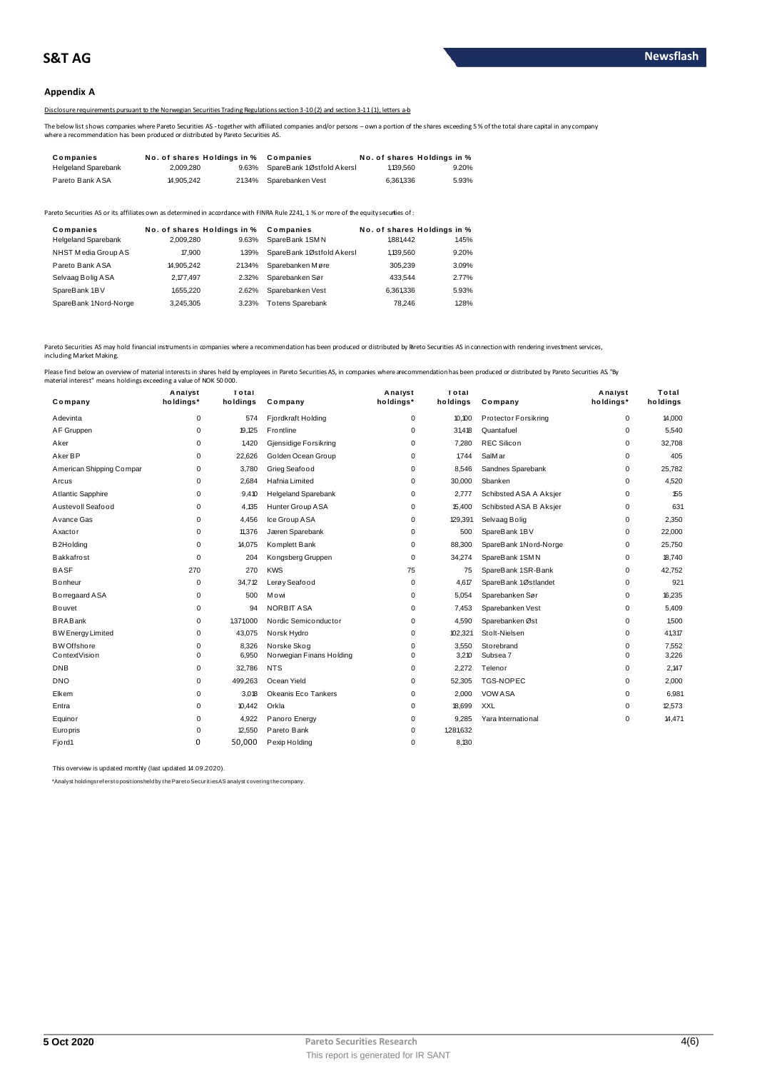### **Appendix A**

Disclosure requirements pursuant to the Norwegian Securities Trading Regulations section 3-10(2) and section 3-11(1), letters a-b

The below list shows companies where Pareto Securities AS - together with affiliated companies and/or persons – own a portion of the shares exceeding 5 % of the total share capital in any company<br>where a recommendation has

| 20 JISClOSUre requirements bursuant to the Norwegian Securities Trading Regulations section 3-10(2) and section 3-11(1). Jetters a-b                                                                                                      |                             |       |                           |                             |       |
|-------------------------------------------------------------------------------------------------------------------------------------------------------------------------------------------------------------------------------------------|-----------------------------|-------|---------------------------|-----------------------------|-------|
| The below list shows companies where Pareto Securities AS - together with affiliated companies and/or persons - own a portion of the shares exceeding<br>where a recommendation has been produced or distributed by Pareto Securities AS. |                             |       |                           |                             |       |
|                                                                                                                                                                                                                                           |                             |       |                           |                             |       |
| Companies                                                                                                                                                                                                                                 | No. of shares Holdings in % |       | Companies                 | No. of shares Holdings in % |       |
| <b>Helgeland Sparebank</b>                                                                                                                                                                                                                | 2.009.280                   | 9.63% | SpareBank 1Østfold Akersl | 1,139,560                   | 9.20% |

| <b>I GIULU DAIIN AUA</b>                | <b>H.JUJ.CTC</b> | <b>4.777.79</b>                      | <b>UDAIGUAINGII VUJL</b>                                                                                                              | <b>U.UU I.UUU</b> | <b>J.JJ</b> 70                       |
|-----------------------------------------|------------------|--------------------------------------|---------------------------------------------------------------------------------------------------------------------------------------|-------------------|--------------------------------------|
|                                         |                  |                                      | Pareto Securities AS or its affiliates own as determined in accordance with FINRA Rule 2241. 1 % or more of the equity securijes of : |                   |                                      |
| Companies<br><b>Helgeland Sparebank</b> | 2.009.280        | No. of shares Holdings in %<br>9.63% | Companies<br>SpareBank 1SMN                                                                                                           | 1.881.442         | No. of shares Holdings in %<br>1.45% |
| NHST Media Group AS                     | 17,900           | 1.39%                                | SpareBank 1Østfold Akersl                                                                                                             | 1,139,560         | 9.20%                                |
| Pareto Bank ASA                         | 14.905.242       | 21.34%                               | Sparebanken Møre                                                                                                                      | 305.239           | 3.09%                                |
| Selvaag Bolig ASA                       | 2.177.497        | 2.32%                                | Sparebanken Sør                                                                                                                       | 433.544           | 2.77%                                |
| SpareBank 1BV                           | 1.655.220        | 2.62%                                | Sparebanken Vest                                                                                                                      | 6.361336          | 5.93%                                |
| SpareBank 1Nord-Norge                   | 3.245.305        | 3.23%                                | <b>Totens Sparebank</b>                                                                                                               | 78.246            | 1.28%                                |

Pareto Securities AS may hold financial instruments in companies where a recommendation has been produced or distributed by Breto Securities AS in connection with rendering investment services, including Market Making.

| Analyst<br>Total<br>Analyst<br>Total<br>Analyst<br>Total<br>holdings*<br>holdings<br>holdings*<br>holdings<br>holdings*<br>Company<br>holdings<br>Company<br>Company<br>$\mathbf 0$<br>Fjordkraft Holding<br>$\mathbf 0$<br>10.100<br>Protector Forsikring<br>$\mathbf 0$<br>14,000<br>Adevinta<br>574<br>AF Gruppen<br>$\mathbf 0$<br>19,125<br>Frontline<br>$\mathbf 0$<br>31,418<br>Quantafuel<br>5,540<br>$\Omega$<br>0<br><b>REC Silicon</b><br>$\mathbf 0$<br>32,708<br>Aker<br>1,420<br>Gjensidige Forsikring<br>7,280<br>$\Omega$<br>Aker BP<br>Golden Ocean Group<br>405<br>$\Omega$<br>22,626<br>$\Omega$<br>1,744<br>SalM ar<br>$\Omega$<br>Sandnes Sparebank<br>25,782<br>American Shipping Compar<br>0<br>3,780<br>Grieg Seafood<br>$\mathbf 0$<br>8,546<br>0<br>$\mathbf 0$<br>Hafnia Limited<br>$\mathbf 0$<br>30,000<br>4,520<br>2,684<br>Sbanken<br>$\Omega$<br>Arcus<br>155<br>Atlantic Sapphire<br>$\mathbf 0$<br><b>Helgeland Sparebank</b><br>$\mathbf 0$<br>2,777<br>Schibsted ASA A Aksjer<br>0<br>9,410<br>Austevoll Seafood<br>Hunter Group ASA<br>15,400<br>Schibsted ASA B Aksjer<br>631<br>0<br>4,135<br>$\mathbf 0$<br>0<br>$\mathbf 0$<br>2,350<br>Avance Gas<br>4,456<br>Ice Group ASA<br>$\mathbf 0$<br>129,391<br>$\Omega$<br>Selvaag Bolig<br>$\mathbf 0$<br>11,376<br>Jæren Sparebank<br>0<br>500<br>SpareBank 1BV<br>$\Omega$<br>22,000<br>Axactor<br>B <sub>2</sub> H <sub>o</sub> Iding<br>0<br>14,075<br>Komplett Bank<br>$\mathbf 0$<br>88,300<br>SpareBank 1Nord-Norge<br>0<br>25,750<br>$\mathbf 0$<br><b>Bakkafrost</b><br>Kongsberg Gruppen<br>$\mathbf 0$<br>34,274<br>SpareBank 1SMN<br>$\Omega$<br>18.740<br>204<br><b>BASF</b><br>270<br>270<br><b>KWS</b><br>75<br>SpareBank 1SR-Bank<br>42,752<br>75<br>0<br>Lerøy Seafood<br>921<br>Bonheur<br>$\mathbf 0$<br>34,712<br>$\mathbf 0$<br>SpareBank 1Østlandet<br>4,617<br>0<br>5,054<br>16,235<br>Borregaard ASA<br>0<br>500<br>Mowi<br>$\mathbf 0$<br>Sparebanken Sør<br>0<br><b>NORBIT ASA</b><br>5,409<br>0<br>94<br>$\mathbf 0$<br>7,453<br>Sparebanken Vest<br>0<br><b>Bouvet</b><br><b>BRABank</b><br>Nordic Semiconductor<br>1,500<br>$\mathbf 0$<br>1,371,000<br>$\mathbf 0$<br>4,590<br>Sparebanken Øst<br>0<br>$\mathbf 0$<br>43,075<br>$\mathbf 0$<br>102,321<br>41,317<br><b>BW Energy Limited</b><br>Norsk Hydro<br>Stolt-Nielsen<br>0<br>0<br>$\Omega$<br>7,552<br><b>BW</b> Offshore<br>8,326<br>Norske Skog<br>0<br>3,550<br>Storebrand<br>$\mathbf 0$<br>$\mathbf 0$<br>3,210<br>Subsea 7<br>3,226<br>ContextVision<br>6,950<br>Norwegian Finans Holding<br>$\Omega$<br><b>DNB</b><br>$\mathbf 0$<br>32,786<br><b>NTS</b><br>2,272<br>Telenor<br>0<br>2,147<br>$\mathbf 0$<br><b>DNO</b><br>$\Omega$<br>499,263<br>Ocean Yield<br>52,305<br><b>TGS-NOPEC</b><br>2,000<br>$\Omega$<br>$\Omega$<br>Okeanis Eco Tankers<br>2,000<br><b>VOW ASA</b><br>6,981<br>Elkem<br>$\mathbf 0$<br>3,018<br>$\mathbf 0$<br>$\mathbf 0$<br>$\mathbf 0$<br><b>XXL</b><br>12,573<br>10,442<br>Orkla<br>$\mathbf 0$<br>18,699<br>0<br>Entra<br>14,471<br>Equinor<br>0<br>4,922<br>Panoro Energy<br>9,285<br>Yara International<br>0<br>$\mathbf 0$<br>1,281,632<br>$\mathbf 0$<br>12,550<br>Pareto Bank<br>Europris<br>$\mathbf 0$<br>0<br>50.000<br>Pexip Holding<br>8.130<br>Fjord1<br>$\mathbf 0$ | naterial interest" means holdings exceeding a value of NOK 50 000. |  |  |  |  |
|-----------------------------------------------------------------------------------------------------------------------------------------------------------------------------------------------------------------------------------------------------------------------------------------------------------------------------------------------------------------------------------------------------------------------------------------------------------------------------------------------------------------------------------------------------------------------------------------------------------------------------------------------------------------------------------------------------------------------------------------------------------------------------------------------------------------------------------------------------------------------------------------------------------------------------------------------------------------------------------------------------------------------------------------------------------------------------------------------------------------------------------------------------------------------------------------------------------------------------------------------------------------------------------------------------------------------------------------------------------------------------------------------------------------------------------------------------------------------------------------------------------------------------------------------------------------------------------------------------------------------------------------------------------------------------------------------------------------------------------------------------------------------------------------------------------------------------------------------------------------------------------------------------------------------------------------------------------------------------------------------------------------------------------------------------------------------------------------------------------------------------------------------------------------------------------------------------------------------------------------------------------------------------------------------------------------------------------------------------------------------------------------------------------------------------------------------------------------------------------------------------------------------------------------------------------------------------------------------------------------------------------------------------------------------------------------------------------------------------------------------------------------------------------------------------------------------------------------------------------------------------------------------------------------------------------------------------------------------------------------------------------------------------------------------------------------------------------------------------------------------------------------------------------------------------------------------------------------------------------------------------------------------------------------------------|--------------------------------------------------------------------|--|--|--|--|
|                                                                                                                                                                                                                                                                                                                                                                                                                                                                                                                                                                                                                                                                                                                                                                                                                                                                                                                                                                                                                                                                                                                                                                                                                                                                                                                                                                                                                                                                                                                                                                                                                                                                                                                                                                                                                                                                                                                                                                                                                                                                                                                                                                                                                                                                                                                                                                                                                                                                                                                                                                                                                                                                                                                                                                                                                                                                                                                                                                                                                                                                                                                                                                                                                                                                                                     |                                                                    |  |  |  |  |
|                                                                                                                                                                                                                                                                                                                                                                                                                                                                                                                                                                                                                                                                                                                                                                                                                                                                                                                                                                                                                                                                                                                                                                                                                                                                                                                                                                                                                                                                                                                                                                                                                                                                                                                                                                                                                                                                                                                                                                                                                                                                                                                                                                                                                                                                                                                                                                                                                                                                                                                                                                                                                                                                                                                                                                                                                                                                                                                                                                                                                                                                                                                                                                                                                                                                                                     |                                                                    |  |  |  |  |
|                                                                                                                                                                                                                                                                                                                                                                                                                                                                                                                                                                                                                                                                                                                                                                                                                                                                                                                                                                                                                                                                                                                                                                                                                                                                                                                                                                                                                                                                                                                                                                                                                                                                                                                                                                                                                                                                                                                                                                                                                                                                                                                                                                                                                                                                                                                                                                                                                                                                                                                                                                                                                                                                                                                                                                                                                                                                                                                                                                                                                                                                                                                                                                                                                                                                                                     |                                                                    |  |  |  |  |
|                                                                                                                                                                                                                                                                                                                                                                                                                                                                                                                                                                                                                                                                                                                                                                                                                                                                                                                                                                                                                                                                                                                                                                                                                                                                                                                                                                                                                                                                                                                                                                                                                                                                                                                                                                                                                                                                                                                                                                                                                                                                                                                                                                                                                                                                                                                                                                                                                                                                                                                                                                                                                                                                                                                                                                                                                                                                                                                                                                                                                                                                                                                                                                                                                                                                                                     |                                                                    |  |  |  |  |
|                                                                                                                                                                                                                                                                                                                                                                                                                                                                                                                                                                                                                                                                                                                                                                                                                                                                                                                                                                                                                                                                                                                                                                                                                                                                                                                                                                                                                                                                                                                                                                                                                                                                                                                                                                                                                                                                                                                                                                                                                                                                                                                                                                                                                                                                                                                                                                                                                                                                                                                                                                                                                                                                                                                                                                                                                                                                                                                                                                                                                                                                                                                                                                                                                                                                                                     |                                                                    |  |  |  |  |
|                                                                                                                                                                                                                                                                                                                                                                                                                                                                                                                                                                                                                                                                                                                                                                                                                                                                                                                                                                                                                                                                                                                                                                                                                                                                                                                                                                                                                                                                                                                                                                                                                                                                                                                                                                                                                                                                                                                                                                                                                                                                                                                                                                                                                                                                                                                                                                                                                                                                                                                                                                                                                                                                                                                                                                                                                                                                                                                                                                                                                                                                                                                                                                                                                                                                                                     |                                                                    |  |  |  |  |
|                                                                                                                                                                                                                                                                                                                                                                                                                                                                                                                                                                                                                                                                                                                                                                                                                                                                                                                                                                                                                                                                                                                                                                                                                                                                                                                                                                                                                                                                                                                                                                                                                                                                                                                                                                                                                                                                                                                                                                                                                                                                                                                                                                                                                                                                                                                                                                                                                                                                                                                                                                                                                                                                                                                                                                                                                                                                                                                                                                                                                                                                                                                                                                                                                                                                                                     |                                                                    |  |  |  |  |
|                                                                                                                                                                                                                                                                                                                                                                                                                                                                                                                                                                                                                                                                                                                                                                                                                                                                                                                                                                                                                                                                                                                                                                                                                                                                                                                                                                                                                                                                                                                                                                                                                                                                                                                                                                                                                                                                                                                                                                                                                                                                                                                                                                                                                                                                                                                                                                                                                                                                                                                                                                                                                                                                                                                                                                                                                                                                                                                                                                                                                                                                                                                                                                                                                                                                                                     |                                                                    |  |  |  |  |
|                                                                                                                                                                                                                                                                                                                                                                                                                                                                                                                                                                                                                                                                                                                                                                                                                                                                                                                                                                                                                                                                                                                                                                                                                                                                                                                                                                                                                                                                                                                                                                                                                                                                                                                                                                                                                                                                                                                                                                                                                                                                                                                                                                                                                                                                                                                                                                                                                                                                                                                                                                                                                                                                                                                                                                                                                                                                                                                                                                                                                                                                                                                                                                                                                                                                                                     |                                                                    |  |  |  |  |
|                                                                                                                                                                                                                                                                                                                                                                                                                                                                                                                                                                                                                                                                                                                                                                                                                                                                                                                                                                                                                                                                                                                                                                                                                                                                                                                                                                                                                                                                                                                                                                                                                                                                                                                                                                                                                                                                                                                                                                                                                                                                                                                                                                                                                                                                                                                                                                                                                                                                                                                                                                                                                                                                                                                                                                                                                                                                                                                                                                                                                                                                                                                                                                                                                                                                                                     |                                                                    |  |  |  |  |
|                                                                                                                                                                                                                                                                                                                                                                                                                                                                                                                                                                                                                                                                                                                                                                                                                                                                                                                                                                                                                                                                                                                                                                                                                                                                                                                                                                                                                                                                                                                                                                                                                                                                                                                                                                                                                                                                                                                                                                                                                                                                                                                                                                                                                                                                                                                                                                                                                                                                                                                                                                                                                                                                                                                                                                                                                                                                                                                                                                                                                                                                                                                                                                                                                                                                                                     |                                                                    |  |  |  |  |
|                                                                                                                                                                                                                                                                                                                                                                                                                                                                                                                                                                                                                                                                                                                                                                                                                                                                                                                                                                                                                                                                                                                                                                                                                                                                                                                                                                                                                                                                                                                                                                                                                                                                                                                                                                                                                                                                                                                                                                                                                                                                                                                                                                                                                                                                                                                                                                                                                                                                                                                                                                                                                                                                                                                                                                                                                                                                                                                                                                                                                                                                                                                                                                                                                                                                                                     |                                                                    |  |  |  |  |
|                                                                                                                                                                                                                                                                                                                                                                                                                                                                                                                                                                                                                                                                                                                                                                                                                                                                                                                                                                                                                                                                                                                                                                                                                                                                                                                                                                                                                                                                                                                                                                                                                                                                                                                                                                                                                                                                                                                                                                                                                                                                                                                                                                                                                                                                                                                                                                                                                                                                                                                                                                                                                                                                                                                                                                                                                                                                                                                                                                                                                                                                                                                                                                                                                                                                                                     |                                                                    |  |  |  |  |
|                                                                                                                                                                                                                                                                                                                                                                                                                                                                                                                                                                                                                                                                                                                                                                                                                                                                                                                                                                                                                                                                                                                                                                                                                                                                                                                                                                                                                                                                                                                                                                                                                                                                                                                                                                                                                                                                                                                                                                                                                                                                                                                                                                                                                                                                                                                                                                                                                                                                                                                                                                                                                                                                                                                                                                                                                                                                                                                                                                                                                                                                                                                                                                                                                                                                                                     |                                                                    |  |  |  |  |
|                                                                                                                                                                                                                                                                                                                                                                                                                                                                                                                                                                                                                                                                                                                                                                                                                                                                                                                                                                                                                                                                                                                                                                                                                                                                                                                                                                                                                                                                                                                                                                                                                                                                                                                                                                                                                                                                                                                                                                                                                                                                                                                                                                                                                                                                                                                                                                                                                                                                                                                                                                                                                                                                                                                                                                                                                                                                                                                                                                                                                                                                                                                                                                                                                                                                                                     |                                                                    |  |  |  |  |
|                                                                                                                                                                                                                                                                                                                                                                                                                                                                                                                                                                                                                                                                                                                                                                                                                                                                                                                                                                                                                                                                                                                                                                                                                                                                                                                                                                                                                                                                                                                                                                                                                                                                                                                                                                                                                                                                                                                                                                                                                                                                                                                                                                                                                                                                                                                                                                                                                                                                                                                                                                                                                                                                                                                                                                                                                                                                                                                                                                                                                                                                                                                                                                                                                                                                                                     |                                                                    |  |  |  |  |
|                                                                                                                                                                                                                                                                                                                                                                                                                                                                                                                                                                                                                                                                                                                                                                                                                                                                                                                                                                                                                                                                                                                                                                                                                                                                                                                                                                                                                                                                                                                                                                                                                                                                                                                                                                                                                                                                                                                                                                                                                                                                                                                                                                                                                                                                                                                                                                                                                                                                                                                                                                                                                                                                                                                                                                                                                                                                                                                                                                                                                                                                                                                                                                                                                                                                                                     |                                                                    |  |  |  |  |
|                                                                                                                                                                                                                                                                                                                                                                                                                                                                                                                                                                                                                                                                                                                                                                                                                                                                                                                                                                                                                                                                                                                                                                                                                                                                                                                                                                                                                                                                                                                                                                                                                                                                                                                                                                                                                                                                                                                                                                                                                                                                                                                                                                                                                                                                                                                                                                                                                                                                                                                                                                                                                                                                                                                                                                                                                                                                                                                                                                                                                                                                                                                                                                                                                                                                                                     |                                                                    |  |  |  |  |
|                                                                                                                                                                                                                                                                                                                                                                                                                                                                                                                                                                                                                                                                                                                                                                                                                                                                                                                                                                                                                                                                                                                                                                                                                                                                                                                                                                                                                                                                                                                                                                                                                                                                                                                                                                                                                                                                                                                                                                                                                                                                                                                                                                                                                                                                                                                                                                                                                                                                                                                                                                                                                                                                                                                                                                                                                                                                                                                                                                                                                                                                                                                                                                                                                                                                                                     |                                                                    |  |  |  |  |
|                                                                                                                                                                                                                                                                                                                                                                                                                                                                                                                                                                                                                                                                                                                                                                                                                                                                                                                                                                                                                                                                                                                                                                                                                                                                                                                                                                                                                                                                                                                                                                                                                                                                                                                                                                                                                                                                                                                                                                                                                                                                                                                                                                                                                                                                                                                                                                                                                                                                                                                                                                                                                                                                                                                                                                                                                                                                                                                                                                                                                                                                                                                                                                                                                                                                                                     |                                                                    |  |  |  |  |
|                                                                                                                                                                                                                                                                                                                                                                                                                                                                                                                                                                                                                                                                                                                                                                                                                                                                                                                                                                                                                                                                                                                                                                                                                                                                                                                                                                                                                                                                                                                                                                                                                                                                                                                                                                                                                                                                                                                                                                                                                                                                                                                                                                                                                                                                                                                                                                                                                                                                                                                                                                                                                                                                                                                                                                                                                                                                                                                                                                                                                                                                                                                                                                                                                                                                                                     |                                                                    |  |  |  |  |
|                                                                                                                                                                                                                                                                                                                                                                                                                                                                                                                                                                                                                                                                                                                                                                                                                                                                                                                                                                                                                                                                                                                                                                                                                                                                                                                                                                                                                                                                                                                                                                                                                                                                                                                                                                                                                                                                                                                                                                                                                                                                                                                                                                                                                                                                                                                                                                                                                                                                                                                                                                                                                                                                                                                                                                                                                                                                                                                                                                                                                                                                                                                                                                                                                                                                                                     |                                                                    |  |  |  |  |
|                                                                                                                                                                                                                                                                                                                                                                                                                                                                                                                                                                                                                                                                                                                                                                                                                                                                                                                                                                                                                                                                                                                                                                                                                                                                                                                                                                                                                                                                                                                                                                                                                                                                                                                                                                                                                                                                                                                                                                                                                                                                                                                                                                                                                                                                                                                                                                                                                                                                                                                                                                                                                                                                                                                                                                                                                                                                                                                                                                                                                                                                                                                                                                                                                                                                                                     |                                                                    |  |  |  |  |
|                                                                                                                                                                                                                                                                                                                                                                                                                                                                                                                                                                                                                                                                                                                                                                                                                                                                                                                                                                                                                                                                                                                                                                                                                                                                                                                                                                                                                                                                                                                                                                                                                                                                                                                                                                                                                                                                                                                                                                                                                                                                                                                                                                                                                                                                                                                                                                                                                                                                                                                                                                                                                                                                                                                                                                                                                                                                                                                                                                                                                                                                                                                                                                                                                                                                                                     |                                                                    |  |  |  |  |
|                                                                                                                                                                                                                                                                                                                                                                                                                                                                                                                                                                                                                                                                                                                                                                                                                                                                                                                                                                                                                                                                                                                                                                                                                                                                                                                                                                                                                                                                                                                                                                                                                                                                                                                                                                                                                                                                                                                                                                                                                                                                                                                                                                                                                                                                                                                                                                                                                                                                                                                                                                                                                                                                                                                                                                                                                                                                                                                                                                                                                                                                                                                                                                                                                                                                                                     |                                                                    |  |  |  |  |
|                                                                                                                                                                                                                                                                                                                                                                                                                                                                                                                                                                                                                                                                                                                                                                                                                                                                                                                                                                                                                                                                                                                                                                                                                                                                                                                                                                                                                                                                                                                                                                                                                                                                                                                                                                                                                                                                                                                                                                                                                                                                                                                                                                                                                                                                                                                                                                                                                                                                                                                                                                                                                                                                                                                                                                                                                                                                                                                                                                                                                                                                                                                                                                                                                                                                                                     |                                                                    |  |  |  |  |
|                                                                                                                                                                                                                                                                                                                                                                                                                                                                                                                                                                                                                                                                                                                                                                                                                                                                                                                                                                                                                                                                                                                                                                                                                                                                                                                                                                                                                                                                                                                                                                                                                                                                                                                                                                                                                                                                                                                                                                                                                                                                                                                                                                                                                                                                                                                                                                                                                                                                                                                                                                                                                                                                                                                                                                                                                                                                                                                                                                                                                                                                                                                                                                                                                                                                                                     |                                                                    |  |  |  |  |
|                                                                                                                                                                                                                                                                                                                                                                                                                                                                                                                                                                                                                                                                                                                                                                                                                                                                                                                                                                                                                                                                                                                                                                                                                                                                                                                                                                                                                                                                                                                                                                                                                                                                                                                                                                                                                                                                                                                                                                                                                                                                                                                                                                                                                                                                                                                                                                                                                                                                                                                                                                                                                                                                                                                                                                                                                                                                                                                                                                                                                                                                                                                                                                                                                                                                                                     |                                                                    |  |  |  |  |

This overview is updated monthly (last updated 14.09.2020).

\*Analyst holdings ref ers t o posit ions held by t he Paret o Securit ies AS analyst covering t he company.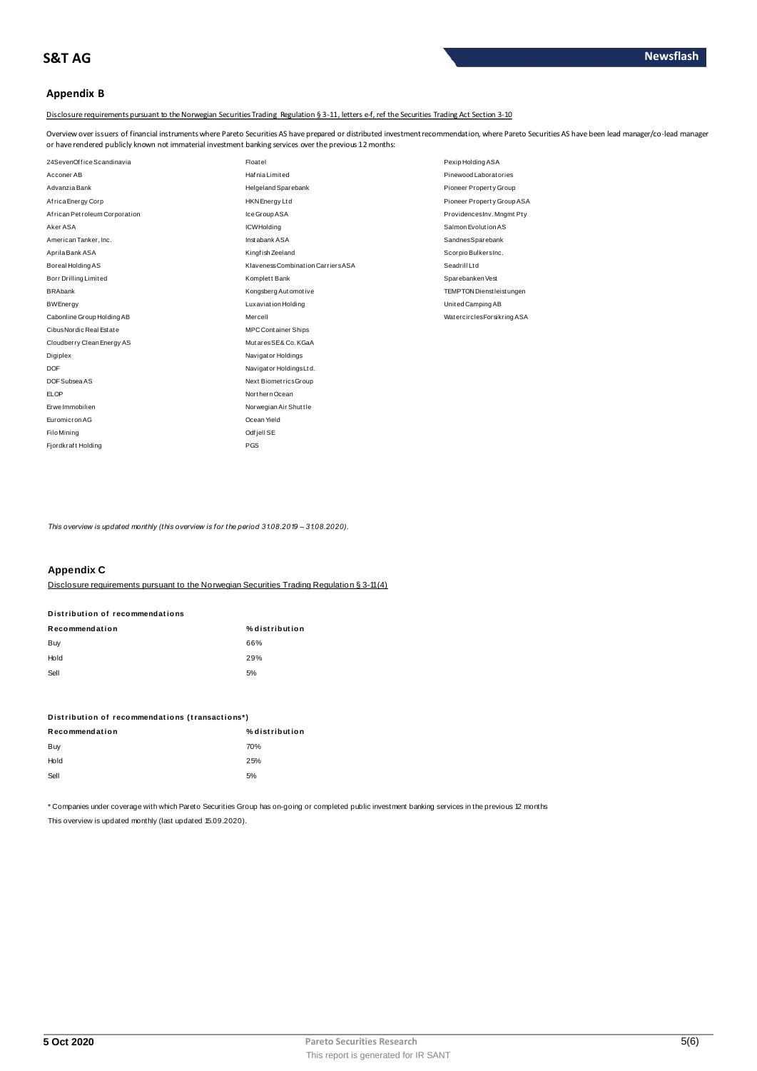# **Appendix B**

Disclosure requirements pursuant to the Norwegian Securities Trading Regulation § 3-11, letters e-f, ref the Securities Trading Act Section 3-10

Overview over issuers of financial instruments where Pareto Securities AS have prepared or distributed investment recommendation, where Pareto Securities AS have been lead manager/co-lead manager<br>or have rendered publicly

| 24SevenOffice Scandinavia     | Floatel                            | Pexip Holding ASA                 |
|-------------------------------|------------------------------------|-----------------------------------|
| Acconer AB                    | Hafnia Limited                     | Pinewood Laboratories             |
| Advanzia Bank                 | Helgeland Sparebank                | Pioneer Property Group            |
| Africa Energy Corp            | <b>HKN</b> Energy Ltd              | Pioneer Property Group ASA        |
| African Petroleum Corporation | Ice Group ASA                      | ProvidencesInv. Mngmt Pty         |
| Aker ASA                      | <b>ICWHolding</b>                  | Salmon Evolution AS               |
| American Tanker, Inc.         | Instabank ASA                      | SandnesSparebank                  |
| Aprila Bank ASA               | Kingfish Zeeland                   | Scorpio BulkersInc.               |
| Boreal Holding AS             | Klaveness Combination Carriers ASA | Seadrill Ltd                      |
| Borr Drilling Limited         | Komplett Bank                      | Sparebanken Vest                  |
| <b>BRAbank</b>                | Kongsberg Automotive               | <b>TEMPTON Dienst leist ungen</b> |
| <b>BWEnergy</b>               | <b>Luxaviation Holding</b>         | United Camping AB                 |
| Cabonline Group Holding AB    | Mercell                            | WatercirclesForsikring ASA        |
| Cibus Nordic Real Estate      | <b>MPCContainer Ships</b>          |                                   |
| Cloudberry Clean Energy AS    | MutaresSE& Co. KGaA                |                                   |
| Digiplex                      | Navigator Holdings                 |                                   |
| <b>DOF</b>                    | Navigator Holdings Ltd.            |                                   |
| DOF Subsea AS                 | Next BiometricsGroup               |                                   |
| <b>ELOP</b>                   | Northern Ocean                     |                                   |
| Erwe Immobilien               | Norwegian Air Shuttle              |                                   |
| Euromicron AG                 | Ocean Yield                        |                                   |
| <b>Filo Mining</b>            | Odfjell SE                         |                                   |
| Fjordkraft Holding            | <b>PGS</b>                         |                                   |

This overview is updated monthly (this overview is for the period  $3108.2019 - 3108.2020$ ).

# **Appendix C**

Disclosure requirements pursuant to the Norwegian Securities Trading Regulation § 3-11(4).

| <b>PISLIIDULIUII UI TECUIIIIIEIIU GLIUIIS</b> |  |
|-----------------------------------------------|--|
| Recommendation                                |  |

Distribution of recommendations

| Buy  | 66% |
|------|-----|
| Hold | 29% |
| Sell | 5%  |

| Distribution of recommendations (transactions*) |                |  |  |  |
|-------------------------------------------------|----------------|--|--|--|
| Recommendation                                  | % distribution |  |  |  |
| Buy                                             | 70%            |  |  |  |
| Hold                                            | 25%            |  |  |  |
| Sell                                            | 5%             |  |  |  |

\* Companies under coverage with which Pareto Securities Group has on-going or completed public investment banking services in the previous 12 months

% distribution

This overview is updated monthly (last updated 15.09.2020).